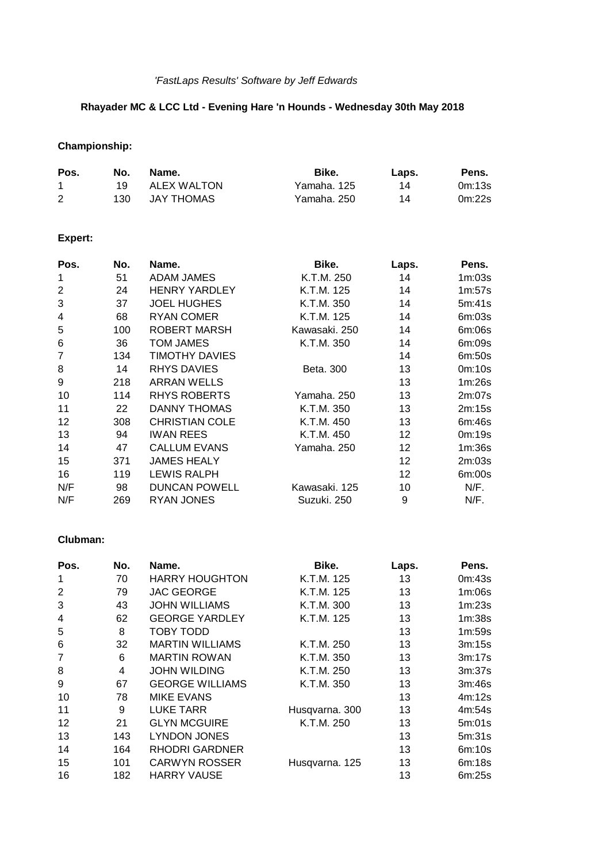# *'FastLaps Results' Software by Jeff Edwards*

## **Rhayader MC & LCC Ltd - Evening Hare 'n Hounds - Wednesday 30th May 2018**

# **Championship:**

| Pos. | No. | Name.       | Bike.       | Laps. | Pens.  |
|------|-----|-------------|-------------|-------|--------|
|      | 19. | ALEX WALTON | Yamaha, 125 | 14    | 0m:13s |
| 2    | 130 | JAY THOMAS  | Yamaha. 250 | 14    | 0m:22s |

# **Expert:**

| Pos.           | No. | Name.                 | Bike.         | Laps. | Pens.  |
|----------------|-----|-----------------------|---------------|-------|--------|
| 1              | 51  | <b>ADAM JAMES</b>     | K.T.M. 250    | 14    | 1m:03s |
| $\overline{2}$ | 24  | <b>HENRY YARDLEY</b>  | K.T.M. 125    | 14    | 1m:57s |
| 3              | 37  | <b>JOEL HUGHES</b>    | K.T.M. 350    | 14    | 5m:41s |
| 4              | 68  | <b>RYAN COMER</b>     | K.T.M. 125    | 14    | 6m:03s |
| 5              | 100 | ROBERT MARSH          | Kawasaki. 250 | 14    | 6m:06s |
| 6              | 36  | TOM JAMES             | K.T.M. 350    | 14    | 6m:09s |
| $\overline{7}$ | 134 | <b>TIMOTHY DAVIES</b> |               | 14    | 6m:50s |
| 8              | 14  | <b>RHYS DAVIES</b>    | Beta, 300     | 13    | 0m:10s |
| 9              | 218 | <b>ARRAN WELLS</b>    |               | 13    | 1m:26s |
| 10             | 114 | <b>RHYS ROBERTS</b>   | Yamaha. 250   | 13    | 2m:07s |
| 11             | 22  | <b>DANNY THOMAS</b>   | K.T.M. 350    | 13    | 2m:15s |
| 12             | 308 | <b>CHRISTIAN COLE</b> | K.T.M. 450    | 13    | 6m:46s |
| 13             | 94  | <b>IWAN REES</b>      | K.T.M. 450    | 12    | 0m:19s |
| 14             | 47  | <b>CALLUM EVANS</b>   | Yamaha. 250   | 12    | 1m:36s |
| 15             | 371 | <b>JAMES HEALY</b>    |               | 12    | 2m:03s |
| 16             | 119 | <b>LEWIS RALPH</b>    |               | 12    | 6m:00s |
| N/F            | 98  | <b>DUNCAN POWELL</b>  | Kawasaki, 125 | 10    | N/F.   |
| N/F            | 269 | <b>RYAN JONES</b>     | Suzuki, 250   | 9     | N/F.   |

### **Clubman:**

| Pos.            | No. | Name.                  | Bike.          | Laps. | Pens.  |
|-----------------|-----|------------------------|----------------|-------|--------|
| 1               | 70  | <b>HARRY HOUGHTON</b>  | K.T.M. 125     | 13    | 0m:43s |
| $\overline{2}$  | 79  | <b>JAC GEORGE</b>      | K.T.M. 125     | 13    | 1m:06s |
| 3               | 43  | <b>JOHN WILLIAMS</b>   | K.T.M. 300     | 13    | 1m:23s |
| 4               | 62  | <b>GEORGE YARDLEY</b>  | K.T.M. 125     | 13    | 1m:38s |
| 5               | 8   | TOBY TODD              |                | 13    | 1m:59s |
| $6\phantom{1}6$ | 32  | <b>MARTIN WILLIAMS</b> | K.T.M. 250     | 13    | 3m:15s |
| $\overline{7}$  | 6   | <b>MARTIN ROWAN</b>    | K.T.M. 350     | 13    | 3m:17s |
| 8               | 4   | <b>JOHN WILDING</b>    | K.T.M. 250     | 13    | 3m:37s |
| 9               | 67  | <b>GEORGE WILLIAMS</b> | K.T.M. 350     | 13    | 3m:46s |
| 10              | 78  | <b>MIKE EVANS</b>      |                | 13    | 4m:12s |
| 11              | 9   | <b>LUKE TARR</b>       | Husqvarna. 300 | 13    | 4m:54s |
| 12              | 21  | <b>GLYN MCGUIRE</b>    | K.T.M. 250     | 13    | 5m:01s |
| 13              | 143 | <b>LYNDON JONES</b>    |                | 13    | 5m:31s |
| 14              | 164 | <b>RHODRI GARDNER</b>  |                | 13    | 6m:10s |
| 15              | 101 | <b>CARWYN ROSSER</b>   | Husqvarna. 125 | 13    | 6m:18s |
| 16              | 182 | <b>HARRY VAUSE</b>     |                | 13    | 6m:25s |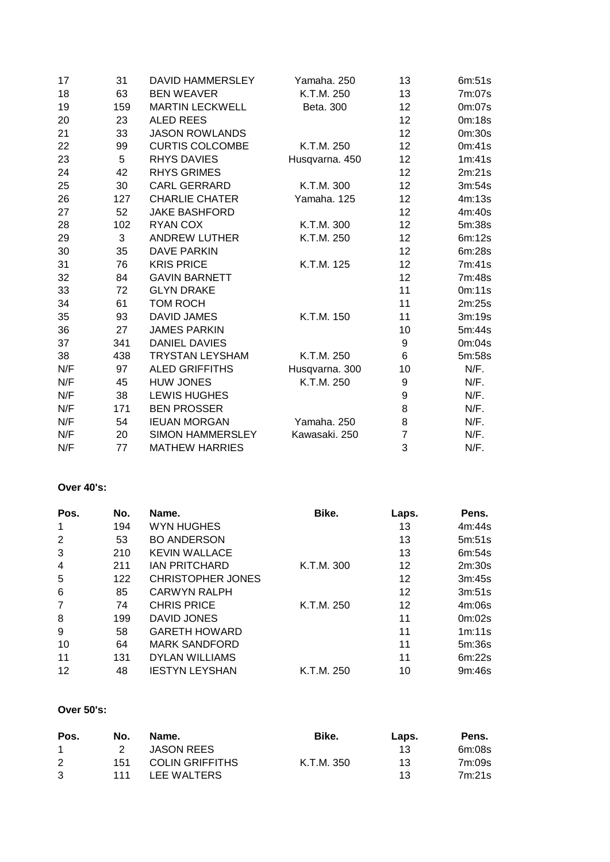| 17  | 31  | DAVID HAMMERSLEY        | Yamaha. 250    | 13                | 6m:51s |
|-----|-----|-------------------------|----------------|-------------------|--------|
| 18  | 63  | <b>BEN WEAVER</b>       | K.T.M. 250     | 13                | 7m:07s |
| 19  | 159 | <b>MARTIN LECKWELL</b>  | Beta. 300      | 12                | 0m:07s |
| 20  | 23  | <b>ALED REES</b>        |                | 12                | 0m:18s |
| 21  | 33  | <b>JASON ROWLANDS</b>   |                | 12 <sub>2</sub>   | 0m:30s |
| 22  | 99  | <b>CURTIS COLCOMBE</b>  | K.T.M. 250     | 12                | 0m:41s |
| 23  | 5   | <b>RHYS DAVIES</b>      | Husqvarna. 450 | 12                | 1m:41s |
| 24  | 42  | <b>RHYS GRIMES</b>      |                | 12                | 2m:21s |
| 25  | 30  | <b>CARL GERRARD</b>     | K.T.M. 300     | 12                | 3m:54s |
| 26  | 127 | <b>CHARLIE CHATER</b>   | Yamaha. 125    | 12                | 4m:13s |
| 27  | 52  | <b>JAKE BASHFORD</b>    |                | 12 <sub>2</sub>   | 4m:40s |
| 28  | 102 | RYAN COX                | K.T.M. 300     | $12 \overline{ }$ | 5m:38s |
| 29  | 3   | <b>ANDREW LUTHER</b>    | K.T.M. 250     | 12                | 6m:12s |
| 30  | 35  | <b>DAVE PARKIN</b>      |                | 12                | 6m:28s |
| 31  | 76  | <b>KRIS PRICE</b>       | K.T.M. 125     | 12                | 7m:41s |
| 32  | 84  | <b>GAVIN BARNETT</b>    |                | 12                | 7m:48s |
| 33  | 72  | <b>GLYN DRAKE</b>       |                | 11                | 0m:11s |
| 34  | 61  | <b>TOM ROCH</b>         |                | 11                | 2m:25s |
| 35  | 93  | <b>DAVID JAMES</b>      | K.T.M. 150     | 11                | 3m:19s |
| 36  | 27  | <b>JAMES PARKIN</b>     |                | 10                | 5m:44s |
| 37  | 341 | <b>DANIEL DAVIES</b>    |                | 9                 | 0m:04s |
| 38  | 438 | <b>TRYSTAN LEYSHAM</b>  | K.T.M. 250     | 6                 | 5m:58s |
| N/F | 97  | <b>ALED GRIFFITHS</b>   | Husqvarna. 300 | 10                | N/F.   |
| N/F | 45  | <b>HUW JONES</b>        | K.T.M. 250     | 9                 | N/F.   |
| N/F | 38  | <b>LEWIS HUGHES</b>     |                | $\boldsymbol{9}$  | N/F.   |
| N/F | 171 | <b>BEN PROSSER</b>      |                | 8                 | N/F.   |
| N/F | 54  | <b>IEUAN MORGAN</b>     | Yamaha. 250    | 8                 | N/F.   |
| N/F | 20  | <b>SIMON HAMMERSLEY</b> | Kawasaki. 250  | $\overline{7}$    | N/F.   |
| N/F | 77  | <b>MATHEW HARRIES</b>   |                | 3                 | N/F.   |

#### **Over 40's:**

| Pos.           | No. | Name.                    | Bike.      | Laps. | Pens.  |
|----------------|-----|--------------------------|------------|-------|--------|
| 1              | 194 | WYN HUGHES               |            | 13    | 4m:44s |
| 2              | 53  | <b>BO ANDERSON</b>       |            | 13    | 5m:51s |
| 3              | 210 | <b>KEVIN WALLACE</b>     |            | 13    | 6m:54s |
| $\overline{4}$ | 211 | <b>JAN PRITCHARD</b>     | K.T.M. 300 | 12    | 2m:30s |
| 5              | 122 | <b>CHRISTOPHER JONES</b> |            | 12    | 3m:45s |
| 6              | 85  | <b>CARWYN RALPH</b>      |            | 12    | 3m:51s |
| 7              | 74  | <b>CHRIS PRICE</b>       | K.T.M. 250 | 12    | 4m:06s |
| 8              | 199 | DAVID JONES              |            | 11    | 0m:02s |
| 9              | 58  | <b>GARETH HOWARD</b>     |            | 11    | 1m:11s |
| 10             | 64  | <b>MARK SANDFORD</b>     |            | 11    | 5m:36s |
| 11             | 131 | <b>DYLAN WILLIAMS</b>    |            | 11    | 6m:22s |
| 12             | 48  | <b>IESTYN LEYSHAN</b>    | K.T.M. 250 | 10    | 9m:46s |

### **Over 50's:**

| Pos.           | No. | Name.                  | Bike.      | Laps. | Pens.  |
|----------------|-----|------------------------|------------|-------|--------|
| $\overline{1}$ | 2   | JASON REES             |            | 13    | 6m:08s |
| $\mathcal{P}$  | 151 | <b>COLIN GRIFFITHS</b> | K.T.M. 350 | 13    | 7m:09s |
| -3             | 111 | LEE WALTERS            |            | 13    | 7m:21s |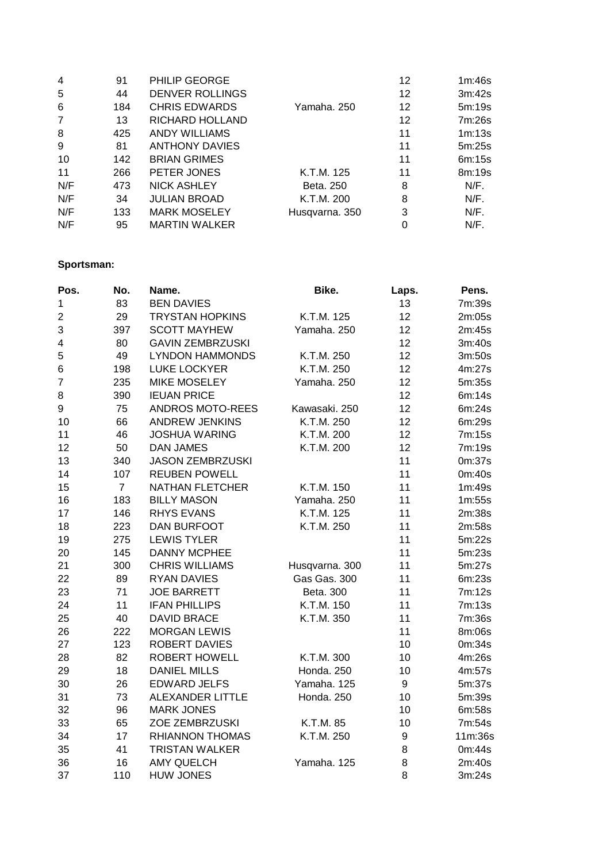| $\overline{4}$ | 91  | PHILIP GEORGE          |                | 12 | 1m:46s |
|----------------|-----|------------------------|----------------|----|--------|
| 5              | 44  | <b>DENVER ROLLINGS</b> |                | 12 | 3m:42s |
| 6              | 184 | <b>CHRIS EDWARDS</b>   | Yamaha. 250    | 12 | 5m:19s |
| $\overline{7}$ | 13  | RICHARD HOLLAND        |                | 12 | 7m:26s |
| 8              | 425 | <b>ANDY WILLIAMS</b>   |                | 11 | 1m:13s |
| 9              | 81  | <b>ANTHONY DAVIES</b>  |                | 11 | 5m:25s |
| 10             | 142 | <b>BRIAN GRIMES</b>    |                | 11 | 6m:15s |
| 11             | 266 | PETER JONES            | K.T.M. 125     | 11 | 8m:19s |
| N/F            | 473 | <b>NICK ASHLEY</b>     | Beta, 250      | 8  | N/F.   |
| N/F            | 34  | <b>JULIAN BROAD</b>    | K.T.M. 200     | 8  | N/F.   |
| N/F            | 133 | <b>MARK MOSELEY</b>    | Husqvarna. 350 | 3  | N/F.   |
| N/F            | 95  | <b>MARTIN WALKER</b>   |                | 0  | N/F.   |

## **Sportsman:**

| Pos.                    | No.            | Name.                   | Bike.            | Laps. | Pens.   |
|-------------------------|----------------|-------------------------|------------------|-------|---------|
| 1                       | 83             | <b>BEN DAVIES</b>       |                  | 13    | 7m:39s  |
| $\overline{2}$          | 29             | <b>TRYSTAN HOPKINS</b>  | K.T.M. 125       | 12    | 2m:05s  |
| 3                       | 397            | <b>SCOTT MAYHEW</b>     | Yamaha. 250      | 12    | 2m:45s  |
| $\overline{\mathbf{4}}$ | 80             | <b>GAVIN ZEMBRZUSKI</b> |                  | 12    | 3m:40s  |
| 5                       | 49             | <b>LYNDON HAMMONDS</b>  | K.T.M. 250       | 12    | 3m:50s  |
| 6                       | 198            | <b>LUKE LOCKYER</b>     | K.T.M. 250       | 12    | 4m:27s  |
| $\overline{7}$          | 235            | <b>MIKE MOSELEY</b>     | Yamaha. 250      | 12    | 5m:35s  |
| 8                       | 390            | <b>IEUAN PRICE</b>      |                  | 12    | 6m:14s  |
| 9                       | 75             | <b>ANDROS MOTO-REES</b> | Kawasaki. 250    | 12    | 6m:24s  |
| 10                      | 66             | <b>ANDREW JENKINS</b>   | K.T.M. 250       | 12    | 6m:29s  |
| 11                      | 46             | <b>JOSHUA WARING</b>    | K.T.M. 200       | 12    | 7m:15s  |
| 12                      | 50             | <b>DAN JAMES</b>        | K.T.M. 200       | 12    | 7m:19s  |
| 13                      | 340            | <b>JASON ZEMBRZUSKI</b> |                  | 11    | 0m:37s  |
| 14                      | 107            | <b>REUBEN POWELL</b>    |                  | 11    | 0m:40s  |
| 15                      | $\overline{7}$ | <b>NATHAN FLETCHER</b>  | K.T.M. 150       | 11    | 1m:49s  |
| 16                      | 183            | <b>BILLY MASON</b>      | Yamaha. 250      | 11    | 1m:55s  |
| 17                      | 146            | <b>RHYS EVANS</b>       | K.T.M. 125       | 11    | 2m:38s  |
| 18                      | 223            | <b>DAN BURFOOT</b>      | K.T.M. 250       | 11    | 2m:58s  |
| 19                      | 275            | <b>LEWIS TYLER</b>      |                  | 11    | 5m:22s  |
| 20                      | 145            | <b>DANNY MCPHEE</b>     |                  | 11    | 5m:23s  |
| 21                      | 300            | <b>CHRIS WILLIAMS</b>   | Husqvarna. 300   | 11    | 5m:27s  |
| 22                      | 89             | <b>RYAN DAVIES</b>      | Gas Gas. 300     | 11    | 6m:23s  |
| 23                      | 71             | <b>JOE BARRETT</b>      | <b>Beta. 300</b> | 11    | 7m:12s  |
| 24                      | 11             | <b>IFAN PHILLIPS</b>    | K.T.M. 150       | 11    | 7m:13s  |
| 25                      | 40             | <b>DAVID BRACE</b>      | K.T.M. 350       | 11    | 7m:36s  |
| 26                      | 222            | <b>MORGAN LEWIS</b>     |                  | 11    | 8m:06s  |
| 27                      | 123            | ROBERT DAVIES           |                  | 10    | 0m:34s  |
| 28                      | 82             | <b>ROBERT HOWELL</b>    | K.T.M. 300       | 10    | 4m:26s  |
| 29                      | 18             | <b>DANIEL MILLS</b>     | Honda. 250       | 10    | 4m:57s  |
| 30                      | 26             | <b>EDWARD JELFS</b>     | Yamaha. 125      | 9     | 5m:37s  |
| 31                      | 73             | <b>ALEXANDER LITTLE</b> | Honda. 250       | 10    | 5m:39s  |
| 32                      | 96             | <b>MARK JONES</b>       |                  | 10    | 6m:58s  |
| 33                      | 65             | ZOE ZEMBRZUSKI          | K.T.M. 85        | 10    | 7m:54s  |
| 34                      | 17             | <b>RHIANNON THOMAS</b>  | K.T.M. 250       | 9     | 11m:36s |
| 35                      | 41             | <b>TRISTAN WALKER</b>   |                  | 8     | 0m:44s  |
| 36                      | 16             | <b>AMY QUELCH</b>       | Yamaha. 125      | 8     | 2m:40s  |
| 37                      | 110            | <b>HUW JONES</b>        |                  | 8     | 3m:24s  |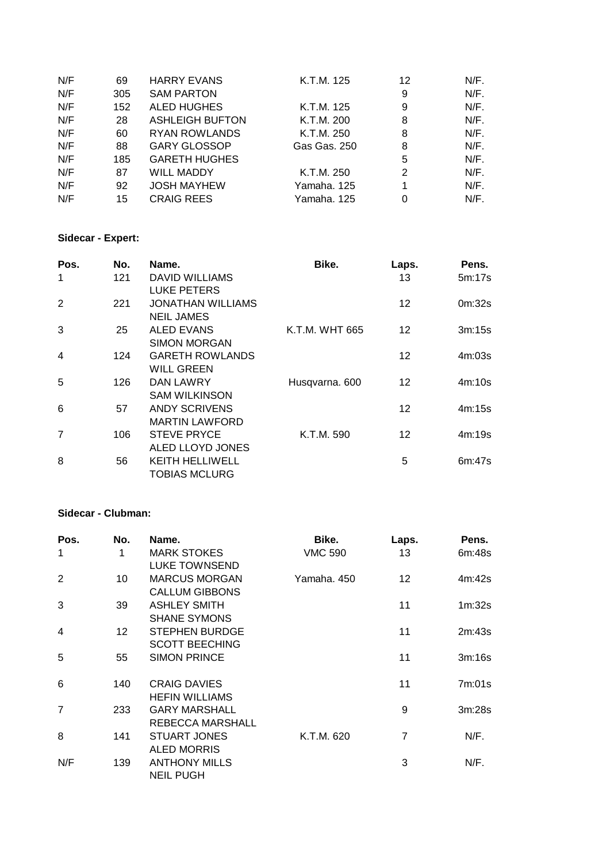| N/F | 69  | <b>HARRY EVANS</b>     | K.T.M. 125   | 12 | N/F.    |
|-----|-----|------------------------|--------------|----|---------|
| N/F | 305 | <b>SAM PARTON</b>      |              | 9  | N/F.    |
| N/F | 152 | <b>ALED HUGHES</b>     | K.T.M. 125   | 9  | N/F.    |
| N/F | 28  | <b>ASHLEIGH BUFTON</b> | K.T.M. 200   | 8  | N/F.    |
| N/F | 60  | RYAN ROWLANDS          | K.T.M. 250   | 8  | N/F.    |
| N/F | 88  | <b>GARY GLOSSOP</b>    | Gas Gas, 250 | 8  | N/F.    |
| N/F | 185 | <b>GARETH HUGHES</b>   |              | 5  | $N/F$ . |
| N/F | 87  | <b>WILL MADDY</b>      | K.T.M. 250   | 2  | $N/F$ . |
| N/F | 92  | <b>JOSH MAYHEW</b>     | Yamaha, 125  | 1  | N/F.    |
| N/F | 15  | <b>CRAIG REES</b>      | Yamaha. 125  | 0  | N/F.    |

## **Sidecar - Expert:**

| Pos.           | No. | Name.                    | Bike.          | Laps. | Pens.  |
|----------------|-----|--------------------------|----------------|-------|--------|
| -1             | 121 | <b>DAVID WILLIAMS</b>    |                | 13    | 5m:17s |
|                |     | <b>LUKE PETERS</b>       |                |       |        |
| 2              | 221 | <b>JONATHAN WILLIAMS</b> |                | 12    | 0m:32s |
|                |     | NEIL JAMES               |                |       |        |
| 3              | 25  | <b>ALED EVANS</b>        | K.T.M. WHT 665 | 12    | 3m:15s |
|                |     | <b>SIMON MORGAN</b>      |                |       |        |
| $\overline{4}$ | 124 | <b>GARETH ROWLANDS</b>   |                | 12    | 4m:03s |
|                |     | <b>WILL GREEN</b>        |                |       |        |
| 5              | 126 | DAN LAWRY                | Husqvarna. 600 | 12    | 4m:10s |
|                |     | <b>SAM WILKINSON</b>     |                |       |        |
| 6              | 57  | <b>ANDY SCRIVENS</b>     |                | 12    | 4m:15s |
|                |     | <b>MARTIN LAWFORD</b>    |                |       |        |
| $\overline{7}$ | 106 | <b>STEVE PRYCE</b>       | K.T.M. 590     | 12    | 4m:19s |
|                |     | ALED LLOYD JONES         |                |       |        |
| 8              | 56  | KEITH HELLIWELL          |                | 5     | 6m:47s |
|                |     | <b>TOBIAS MCLURG</b>     |                |       |        |

### **Sidecar - Clubman:**

| Pos.           | No.             | Name.                 | Bike.          | Laps.             | Pens.  |
|----------------|-----------------|-----------------------|----------------|-------------------|--------|
| $\mathbf{1}$   | 1               | <b>MARK STOKES</b>    | <b>VMC 590</b> | 13                | 6m:48s |
|                |                 | LUKE TOWNSEND         |                |                   |        |
| 2              | 10              | <b>MARCUS MORGAN</b>  | Yamaha, 450    | $12 \overline{ }$ | 4m:42s |
|                |                 | <b>CALLUM GIBBONS</b> |                |                   |        |
| 3              | 39              | <b>ASHLEY SMITH</b>   |                | 11                | 1m:32s |
|                |                 | <b>SHANE SYMONS</b>   |                |                   |        |
| $\overline{4}$ | 12 <sup>2</sup> | <b>STEPHEN BURDGE</b> |                | 11                | 2m:43s |
|                |                 | <b>SCOTT BEECHING</b> |                |                   |        |
| 5              | 55              | <b>SIMON PRINCE</b>   |                | 11                | 3m:16s |
|                |                 |                       |                |                   |        |
| 6              | 140             | <b>CRAIG DAVIES</b>   |                | 11                | 7m:01s |
|                |                 | <b>HEFIN WILLIAMS</b> |                |                   |        |
| $\overline{7}$ | 233             | <b>GARY MARSHALL</b>  |                | 9                 | 3m:28s |
|                |                 | REBECCA MARSHALL      |                |                   |        |
| 8              | 141             | <b>STUART JONES</b>   | K.T.M. 620     | 7                 | N/F.   |
|                |                 | <b>ALED MORRIS</b>    |                |                   |        |
| N/F            | 139             | <b>ANTHONY MILLS</b>  |                | 3                 | N/F.   |
|                |                 | <b>NEIL PUGH</b>      |                |                   |        |